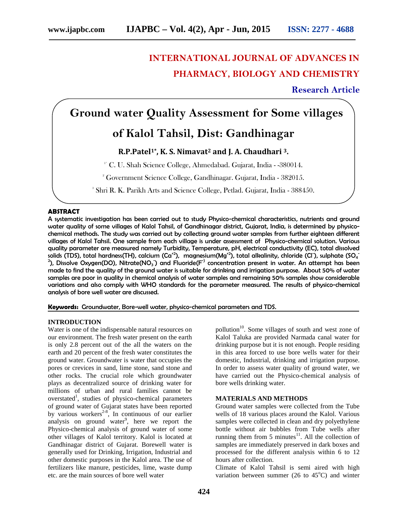# **INTERNATIONAL JOURNAL OF ADVANCES IN PHARMACY, BIOLOGY AND CHEMISTRY**

**Research Article**

# **Ground water Quality Assessment for Some villages**

## **of Kalol Tahsil, Dist: Gandhinagar**

### **R.P.Patel1\* , K. S. Nimavat<sup>2</sup> and J. A. Chaudhari <sup>3</sup>.**

<sup>1</sup>' C. U. Shah Science College, Ahmedabad. Gujarat, India - -380014.

<sup>2</sup> Government Science College, Gandhinagar. Gujarat, India - 382015.

<sup>3</sup> Shri R. K. Parikh Arts and Science College, Petlad. Gujarat, India - 388450.

#### **ABSTRACT**

A systematic investigation has been carried out to study Physico-chemical characteristics, nutrients and ground water quality of some villages of Kalol Tahsil, of Gandhinagar district, Gujarat, India, is determined by physico chemical methods. The study was carried out by collecting ground water samples from further eighteen different villages of Kalol Tahsil. One sample from each village is under assessment of Physico-chemical solution. Various quality parameter are measured namely Turbidity, Temperature, pH, electrical conductivity (EC), total dissolved solids (TDS), total hardness(TH), calcium (Ca $^{*2}$ ),  $\,$  magnesium(Mg $^{*2}$ ), total alkalinity, chloride (Cl ), sulphate (SO $_4$  $^2$ ), Dissolve Oxygen(DO), Nitrate(NO $_3$  ) and Fluoride(F $^{\circ}$  concentration present in water. An attempt has been made to find the quality of the ground water is suitable for drinking and irrigation purpose. About 50% of water samples are poor in quality in chemical analysis of water samples and remaining 50% samples show considerable variations and also comply with WHO standards for the parameter measured. The results of physico-chemical analysis of bore well water are discussed.

**Keywords:** Groundwater, Bore-well water, physico-chemical parameters and TDS.

#### **INTRODUCTION**

Water is one of the indispensable natural resources on our environment. The fresh water present on the earth is only 2.8 percent out of the all the waters on the earth and 20 percent of the fresh water constitutes the ground water. Groundwater is water that occupies the pores or crevices in sand, lime stone, sand stone and other rocks. The crucial role which groundwater plays as decentralized source of drinking water for millions of urban and rural families cannot be overstated<sup>1</sup>, studies of physico-chemical parameters of ground water of Gujarat states have been reported by various workers<sup>2-8</sup>, In continuous of our earlier analysis on ground water<sup>9</sup>, here we report the Physico-chemical analysis of ground water of some other villages of Kalol territory. Kalol is located at Gandhinagar district of Gujarat. Borewell water is generally used for Drinking, Irrigation, Industrial and other domestic purposes in the Kalol area. The use of fertilizers like manure, pesticides, lime, waste dump etc. are the main sources of bore well water

pollution<sup>10</sup>. Some villages of south and west zone of Kalol Taluka are provided Narmada canal water for drinking purpose but it is not enough. People residing in this area forced to use bore wells water for their domestic, Industrial, drinking and irrigation purpose. In order to assess water quality of ground water, we have carried out the Physico-chemical analysis of bore wells drinking water.

#### **MATERIALS AND METHODS**

Ground water samples were collected from the Tube wells of 18 various places around the Kalol. Various samples were collected in clean and dry polyethylene bottle without air bubbles from Tube wells after running them from  $5 \text{ minutes}^{11}$ . All the collection of samples are immediately preserved in dark boxes and processed for the different analysis within 6 to 12 hours after collection.

Climate of Kalol Tahsil is semi aired with high variation between summer (26 to  $45^{\circ}$ C) and winter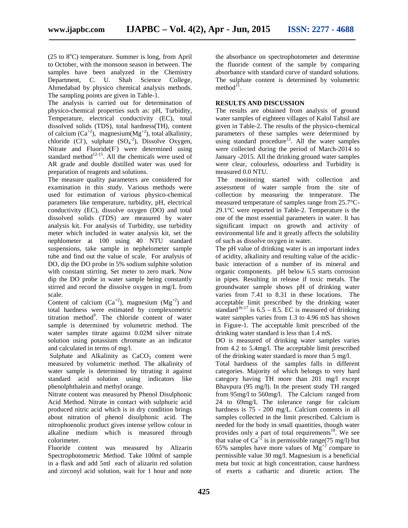$(25 \text{ to } 8^{\circ}C)$  temperature. Summer is long, from April to October, with the monsoon season in between. The samples have been analyzed in the Chemistry Department, C. U. Shah Science College, Ahmedabad by physico chemical analysis methods. The sampling points are given in Table-1.

The analysis is carried out for determination of physico-chemical properties such as: pH, Turbidity, Temperature, electrical conductivity (EC), total dissolved solids (TDS), total hardness(TH), content of calcium (Ca<sup>+2</sup>), magnesium(Mg<sup>+2</sup>), total alkalinity, chloride (Cl<sup>-</sup>), sulphate  $(SO<sub>4</sub><sup>-2</sup>)$ , Dissolve Oxygen, Nitrate and  $Fluoride(F)$  were determined using standard method $12-15$ . All the chemicals were used of AR grade and double distilled water was used for preparation of reagents and solutions.

The measure quality parameters are considered for examination in this study. Various methods were used for estimation of various physico-chemical parameters like temperature, turbidity, pH, electrical conductivity (EC), dissolve oxygen (DO) and total dissolved solids (TDS) are measured by water analysis kit. For analysis of Turbidity, use turbidity meter which included in water analysis kit, set the nephlometer at 100 using 40 NTU standard suspensions, take sample in nephelometer sample tube and find out the value of scale. For analysis of DO, dip the DO probe in 5% sodium sulphite solution with constant stirring. Set meter to zero mark. Now dip the DO probe in water sample being constantly stirred and record the dissolve oxygen in mg/L from scale.

Content of calcium  $(Ca^{+2})$ , magnesium  $(Mg^{+2})$  and total hardness were estimated by complexometric titration method<sup>9</sup>. The chloride content of water sample is determined by volumetric method. The water samples titrate against 0.02M silver nitrate solution using potassium chromate as an indicator and calculated in terms of mg/l.

Sulphate and Alkalinity as  $CaCO<sub>3</sub>$  content were measured by volumetric method. The alkalinity of water sample is determined by titrating it against standard acid solution using indicators like phenolphthalein and methyl orange.

Nitrate content was measured by Phenol Disulphonic Acid Method. Nitrate in contact with sulphuric acid produced nitric acid which is in dry condition brings about nitration of phenol disulphonic acid. The nitrophoenolic product gives intense yellow colour in alkaline medium which is measured through colorimeter.

Fluoride content was measured by Alizarin Spectrophotometric Method. Take 100ml of sample in a flask and add 5ml each of alizarin red solution and zirconyl acid solution, wait for 1 hour and note

the absorbance on spectrophotometer and determine the fluoride content of the sample by comparing absorbance with standard curve of standard solutions. The sulphate content is determined by volumetric  $method<sup>11</sup>$ .

### **RESULTS AND DISCUSSION**

The results are obtained from analysis of ground water samples of eighteen villages of Kalol Tahsil are given in Table-2. The results of the physico-chemical parameters of these samples were determined by using standard procedure<sup>12</sup>. All the water samples were collected during the period of March-2014 to January -2015. All the drinking ground water samples were clear, colourless, odourless and Turbidity is measured 0.0 NTU.

The monitoring started with collection and assessment of water sample from the site of collection by measuring the temperature. The measured temperature of samples range from 25.7°C- 29.1°C were reported in Table-2. Temperature is the one of the most essential parameters in water. It has significant impact on growth and activity of environmental life and it greatly affects the solubility of such as dissolve oxygen in water.

The pH value of drinking water is an important index of acidity, alkalinity and resulting value of the acidic basic interaction of a number of its mineral and organic components. pH below 6.5 starts corrosion in pipes. Resulting in release if toxic metals. The groundwater sample shows pH of drinking water varies from 7.41 to 8.31 in these locations. The acceptable limit prescribed by the drinking water standard<sup>16-17</sup> is  $6.5 - 8.5$ . EC is measured of drinking water samples varies from 1.3 to 4.96 mS has shown in Figure-1. The acceptable limit prescribed of the

drinking water standard is less than 1.4 mS.<br>DO is measured of drinking water samples varies from 4.2 to 5.4mg/l. The acceptable limit prescribed of the drinking water standard is more than 5 mg/l.

Total hardness of the samples falls in different categories. Majority of which belongs to very hard category having TH more than 201 mg/l except Bhavpura (95 mg/l). In the present study TH ranged from 95mg/l to 560mg/l. The Calcium ranged from 24 to 69mg/L The tolerance range for calcium hardness is 75 - 200 mg/L. Calcium contents in all samples collected in the limit prescribed. Calcium is needed for the body in small quantities, though water provides only a part of total requirements<sup>18</sup>. We see that value of  $Ca^{2}$  is in permissible range(75 mg/l) but 65% samples have more values of  $Mg^{+2}$  compare to permissible value 30 mg/l. Magnesium is a beneficial meta but toxic at high concentration, cause hardness of exerts a cathartic and diuretic action. The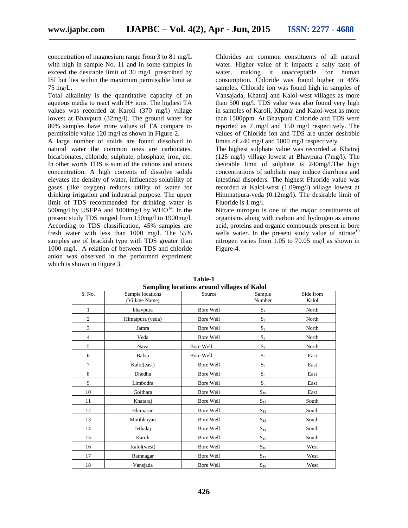concentration of magnesium range from 3 to 81 mg/L with high in sample No. 11 and in some samples in exceed the desirable limit of 30 mg/L prescribed by water, ISI but lies within the maximum permissible limit at 75 mg/L.

Total alkalinity is the quantitative capacity of an aqueous media to react with H+ ions. The highest TA values was recorded at Karoli (370 mg/l) village lowest at Bhavpura (32mg/l). The ground water for 80% samples have more values of TA compare to permissible value 120 mg/l as shown in Figure-2.

A large number of solids are found dissolved in natural water the common ones are carbonates, bicarbonates, chloride, sulphate, phosphate, iron, etc. In other words TDS is sum of the cations and anions concentration. A high contents of dissolve solids elevates the density of water, influences solubility of gases (like oxygen) reduces utility of water for drinking irrigation and industrial purpose. The upper limit of TDS recommended for drinking water is 500mg/l by USEPA and 1000mg/l by  $WHO^{14}$ . In the present study TDS ranged from 150mg/l to 1900mg/l. According to TDS classification, 45% samples are fresh water with less than 1000 mg/l. The 55% samples are of brackish type with TDS greater than 1000 mg/l. A relation of between TDS and chloride anion was observed in the performed experiment which is shown in Figure 3.

Chlorides are common constituents of all natural water. Higher value of it impacts a salty taste of making it unacceptable for human consumption. Chloride was found higher in 45% samples. Chloride ion was found high in samples of Vansajada, Khatraj and Kalol-west villages as more than 500 mg/l. TDS value was also found very high in samples of Karoli, Khatraj and Kalol-west as more than 1500ppm. At Bhavpura Chloride and TDS were reported as 7 mg/l and 150 mg/l respectively. The values of Chloride ion and TDS are under desirable limits of 240 mg/l and 1000 mg/l respectively.

The highest sulphate value was recorded at Khatraj (125 mg/l) village lowest at Bhavpura (7mg/l). The desirable limit of sulphate is 240mg/l.The high concentrations of sulphate may induce diarrhoea and intestinal disorders. The highest Fluoride value was recorded at Kalol-west (1.09mg/l) village lowest at Himmatpura-veda (0.12mg/l). The desirable limit of Fluoride is 1 mg/l.

Nitrate nitrogen is one of the major constituents of organisms along with carbon and hydrogen as amino acid, proteins and organic compounds present in bore wells water. In the present study value of nitrate<sup>19</sup> nitrogen varies from 1.05 to 70.05 mg/l as shown in Figure-4.

| S. No.         | 0<br>Sample locations<br>(Viilage Name) | 0<br>Source | Sample<br>Number  | Side from<br>Kalol |  |  |
|----------------|-----------------------------------------|-------------|-------------------|--------------------|--|--|
| 1              | bhavpura                                | Bore Well   | $S_1$             | North              |  |  |
| $\overline{c}$ | Himatpura (veda)                        | Bore Well   | $\mathbf{S}_2$    | North              |  |  |
| 3              | Jamra                                   | Bore Well   | $S_3$             | North              |  |  |
| 4              | Veda                                    | Bore Well   | $\mathbf{S}_4$    | North              |  |  |
| 5              | Nava                                    | Bore Well   | $S_5$             | North              |  |  |
| 6              | Balva                                   | Bore Well   | $S_6$             | East               |  |  |
| 7              | Kalol(east)                             | Bore Well   | $S_7$             | East               |  |  |
| 8              | Dhedhu                                  | Bore Well   | $S_8$             | East               |  |  |
| 9              | Limbodra                                | Bore Well   | $S_9$             | East               |  |  |
| 10             | Golthara                                | Bore Well   | $S_{10}$          | East               |  |  |
| 11             | Khataraj                                | Bore Well   | $S_{11}$          | South              |  |  |
| 12             | Bhimasan                                | Bore Well   | $S_{12}$          | South              |  |  |
| 13             | Motibhoyan                              | Bore Well   | $\mathbf{S}_{13}$ | South              |  |  |
| 14             | Jethalaj                                | Bore Well   | $S_{14}$          | South              |  |  |
| 15             | Karoli                                  | Bore Well   | $\mathbf{S}_{15}$ | South              |  |  |
| 16             | Kalol(west)                             | Bore Well   | $\mathbf{S}_{16}$ | West               |  |  |
| 17             | Ramnagar                                | Bore Well   | $S_{17}$          | West               |  |  |
| 18             | Vansjada                                | Bore Well   | $S_{18}$          | West               |  |  |

**Table-1 Sampling locations around villages of Kalol**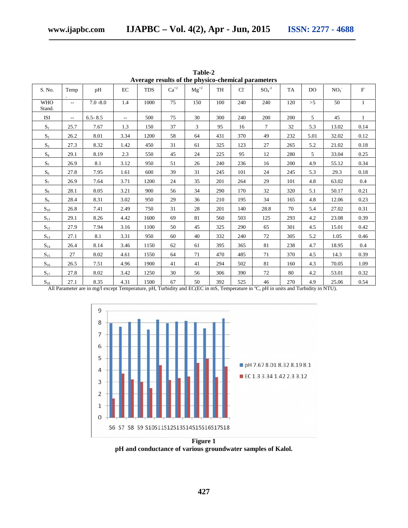| Average results of the physico-chemical parameters |        |             |        |            |           |           |           |                |         |           |      |                 |              |
|----------------------------------------------------|--------|-------------|--------|------------|-----------|-----------|-----------|----------------|---------|-----------|------|-----------------|--------------|
| S. No.                                             | Temp   | pH          | EC     | <b>TDS</b> | $Ca^{+2}$ | $Mg^{+2}$ | <b>TH</b> | $Cl^{\dagger}$ | $SO4-2$ | <b>TA</b> | DO.  | NO <sub>3</sub> | $\mathbf{F}$ |
| <b>WHO</b><br>Stand.                               | $\sim$ | $7.0 - 8.0$ | 1.4    | 1000       | 75        | 150       | 100       | 240            | 240     | 120       | >5   | 50              | 1            |
| <b>ISI</b>                                         | $\sim$ | $6.5 - 8.5$ | $\sim$ | 500        | 75        | 30        | 300       | 240            | 200     | 200       | 5    | 45              | $\mathbf{1}$ |
| $S_1$                                              | 25.7   | 7.67        | 1.3    | 150        | 37        | 3         | 95        | 16             | $\tau$  | 32        | 5.3  | 13.02           | 0.14         |
| $S_2$                                              | 26.2   | 8.01        | 3.34   | 1200       | 58        | 64        | 431       | 370            | 49      | 232       | 5.01 | 32.02           | 0.12         |
| $\mathbf{S}_3$                                     | 27.3   | 8.32        | 1.42   | 450        | 31        | 61        | 325       | 123            | 27      | 265       | 5.2  | 21.02           | 0.18         |
| $\mathrm{S}_4$                                     | 29.1   | 8.19        | 2.3    | 550        | 45        | 24        | 225       | 95             | 12      | 280       | 5    | 33.04           | 0.25         |
| $S_5$                                              | 26.9   | 8.1         | 3.12   | 950        | 51        | 26        | 240       | 236            | 16      | 200       | 4.9  | 55.12           | 0.34         |
| $S_6$                                              | 27.8   | 7.95        | 1.61   | 600        | 39        | 31        | 245       | 101            | 24      | 245       | 5.3  | 29.3            | 0.18         |
| $S_7$                                              | 26.9   | 7.64        | 3.71   | 1200       | 24        | 35        | 201       | 264            | 29      | 101       | 4.8  | 63.02           | 0.4          |
| $\mathbf{S}_8$                                     | 28.1   | 8.05        | 3.21   | 900        | 56        | 34        | 290       | 170            | 32      | 320       | 5.1  | 50.17           | 0.21         |
| $S_9$                                              | 28.4   | 8.31        | 3.02   | 950        | 29        | 36        | 210       | 195            | 34      | 165       | 4.8  | 12.06           | 0.23         |
| $S_{10}$                                           | 26.8   | 7.41        | 2.49   | 750        | 31        | 28        | 201       | 140            | 28.8    | 70        | 5.4  | 27.02           | 0.31         |
| $S_{11}$                                           | 29.1   | 8.26        | 4.42   | 1600       | 69        | 81        | 560       | 503            | 125     | 293       | 4.2  | 23.08           | 0.39         |
| $S_{12}$                                           | 27.9   | 7.94        | 3.16   | 1100       | 50        | 45        | 325       | 290            | 65      | 301       | 4.5  | 15.01           | 0.42         |
| $S_{13}$                                           | 27.1   | 8.1         | 3.31   | 950        | 60        | 40        | 332       | 240            | 72      | 305       | 5.2  | 1.05            | 0.46         |
| $S_{14}$                                           | 26.4   | 8.14        | 3.46   | 1150       | 62        | 61        | 395       | 365            | 81      | 238       | 4.7  | 18.95           | 0.4          |
| $S_{15}$                                           | 27     | 8.02        | 4.61   | 1550       | 64        | 71        | 470       | 485            | 71      | 370       | 4.5  | 14.3            | 0.39         |
| $S_{16}$                                           | 26.5   | 7.51        | 4.96   | 1900       | 41        | 41        | 294       | 502            | 81      | 160       | 4.3  | 70.05           | 1.09         |
| $S_{17}$                                           | 27.8   | 8.02        | 3.42   | 1250       | 30        | 56        | 306       | 390            | 72      | 80        | 4.2  | 53.01           | 0.32         |
| $S_{18}$                                           | 27.1   | 8.35        | 4.31   | 1500       | 67        | 50        | 392       | 525            | 46      | 270       | 4.9  | 25.06           | 0.54         |

**Table-2**

All Parameter are in mg/l except Temperature, pH, Turbidity and EC(EC in mS, Temperature in °C, pH in units and Turbidity in NTU).



**pH and conductance of various groundwater samples of Kalol.**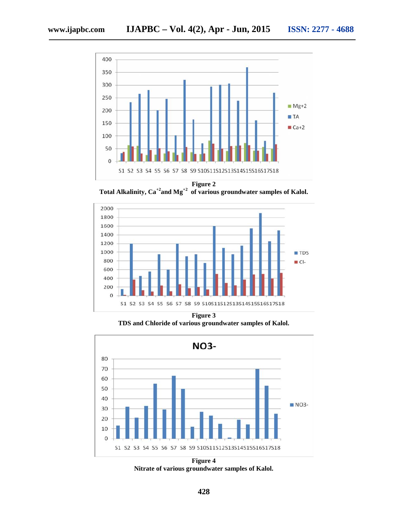

**Total Alkalinity, Ca+2and Mg+2 of various groundwater samples of Kalol.**



**Figure 3 TDS and Chloride of various groundwater samples of Kalol.**



**Figure 4 Nitrate of various groundwater samples of Kalol.**